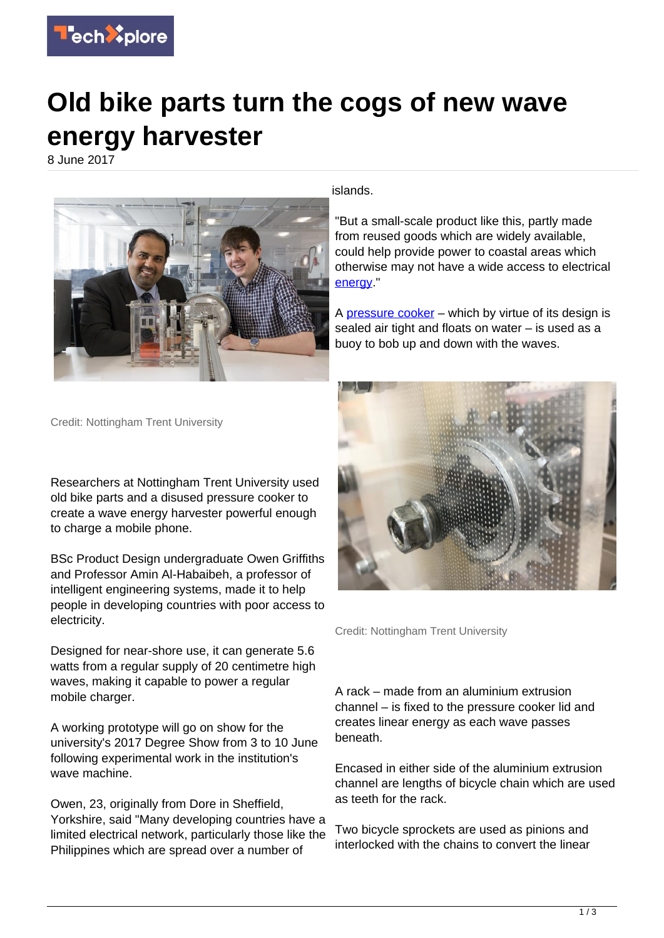

## **Old bike parts turn the cogs of new wave energy harvester**

8 June 2017



islands.

"But a small-scale product like this, partly made from reused goods which are widely available, could help provide power to coastal areas which otherwise may not have a wide access to electrical [energy](https://techxplore.com/tags/energy/)

A [pressure cooker](https://techxplore.com/tags/pressure+cooker/) – which by virtue of its design is sealed air tight and floats on water – is used as a buoy to bob up and down with the waves.

Credit: Nottingham Trent University

Researchers at Nottingham Trent University used old bike parts and a disused pressure cooker to create a wave energy harvester powerful enough to charge a mobile phone.

BSc Product Design undergraduate Owen Griffiths and Professor Amin Al-Habaibeh, a professor of intelligent engineering systems, made it to help people in developing countries with poor access to electricity.

Designed for near-shore use, it can generate 5.6 watts from a regular supply of 20 centimetre high waves, making it capable to power a regular mobile charger.

A working prototype will go on show for the university's 2017 Degree Show from 3 to 10 June following experimental work in the institution's wave machine.

Owen, 23, originally from Dore in Sheffield, Yorkshire, said "Many developing countries have a limited electrical network, particularly those like the Philippines which are spread over a number of



Credit: Nottingham Trent University

A rack – made from an aluminium extrusion channel – is fixed to the pressure cooker lid and creates linear energy as each wave passes beneath.

Encased in either side of the aluminium extrusion channel are lengths of bicycle chain which are used as teeth for the rack.

Two bicycle sprockets are used as pinions and interlocked with the chains to convert the linear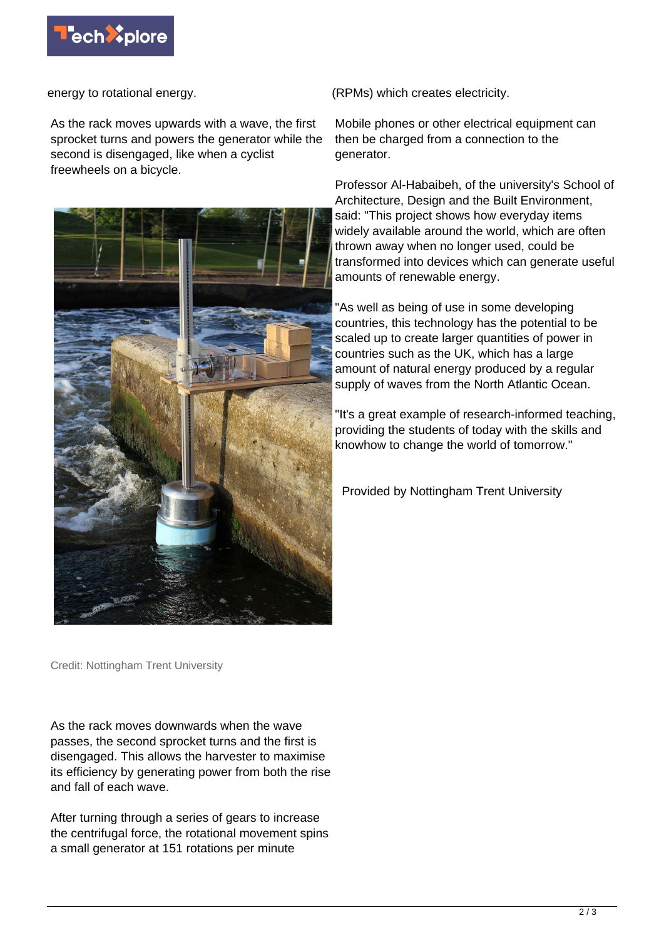

energy to rotational energy.

As the rack moves upwards with a wave, the first sprocket turns and powers the generator while the second is disengaged, like when a cyclist freewheels on a bicycle.



(RPMs) which creates electricity.

Mobile phones or other electrical equipment can then be charged from a connection to the generator.

Professor Al-Habaibeh, of the university's School of Architecture, Design and the Built Environment, said: "This project shows how everyday items widely available around the world, which are often thrown away when no longer used, could be transformed into devices which can generate useful amounts of renewable energy.

"As well as being of use in some developing countries, this technology has the potential to be scaled up to create larger quantities of power in countries such as the UK, which has a large amount of natural energy produced by a regular supply of waves from the North Atlantic Ocean.

"It's a great example of research-informed teaching, providing the students of today with the skills and knowhow to change the world of tomorrow."

Provided by Nottingham Trent University

Credit: Nottingham Trent University

As the rack moves downwards when the wave passes, the second sprocket turns and the first is disengaged. This allows the harvester to maximise its efficiency by generating power from both the rise and fall of each wave.

After turning through a series of gears to increase the centrifugal force, the rotational movement spins a small generator at 151 rotations per minute